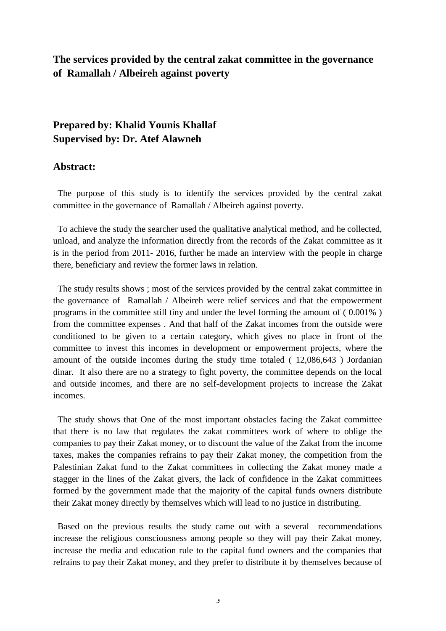## **The services provided by the central zakat committee in the governance of Ramallah / Albeireh against poverty**

## **Prepared by: Khalid Younis Khallaf Supervised by: Dr. Atef Alawneh**

## **Abstract:**

 The purpose of this study is to identify the services provided by the central zakat committee in the governance of Ramallah / Albeireh against poverty.

 To achieve the study the searcher used the qualitative analytical method, and he collected, unload, and analyze the information directly from the records of the Zakat committee as it is in the period from 2011- 2016, further he made an interview with the people in charge there, beneficiary and review the former laws in relation.

 The study results shows ; most of the services provided by the central zakat committee in the governance of Ramallah / Albeireh were relief services and that the empowerment programs in the committee still tiny and under the level forming the amount of ( 0.001% ) from the committee expenses . And that half of the Zakat incomes from the outside were conditioned to be given to a certain category, which gives no place in front of the committee to invest this incomes in development or empowerment projects, where the amount of the outside incomes during the study time totaled ( 12,086,643 ) Jordanian dinar. It also there are no a strategy to fight poverty, the committee depends on the local and outside incomes, and there are no self-development projects to increase the Zakat incomes.

 The study shows that One of the most important obstacles facing the Zakat committee that there is no law that regulates the zakat committees work of where to oblige the companies to pay their Zakat money, or to discount the value of the Zakat from the income taxes, makes the companies refrains to pay their Zakat money, the competition from the Palestinian Zakat fund to the Zakat committees in collecting the Zakat money made a stagger in the lines of the Zakat givers, the lack of confidence in the Zakat committees formed by the government made that the majority of the capital funds owners distribute their Zakat money directly by themselves which will lead to no justice in distributing.

 Based on the previous results the study came out with a several recommendations increase the religious consciousness among people so they will pay their Zakat money, increase the media and education rule to the capital fund owners and the companies that refrains to pay their Zakat money, and they prefer to distribute it by themselves because of